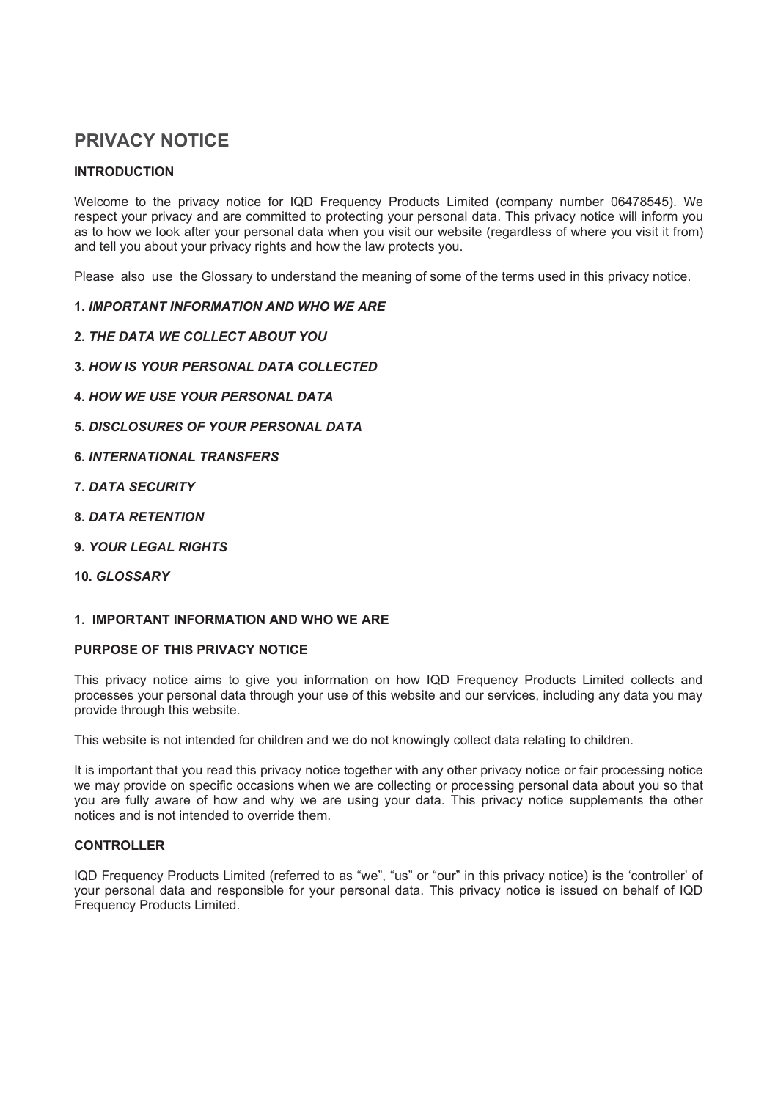# **PRIVACY NOTICE**

# **INTRODUCTION**

Welcome to the privacy notice for IQD Frequency Products Limited (company number 06478545). We respect your privacy and are committed to protecting your personal data. This privacy notice will inform you as to how we look after your personal data when you visit our website (regardless of where you visit it from) and tell you about your privacy rights and how the law protects you.

Please also use the Glossary to understand the meaning of some of the terms used in this privacy notice.

# 1. IMPORTANT INFORMATION AND WHO WE ARE

- 2. THE DATA WE COLLECT ABOUT YOU
- 3. HOW IS YOUR PERSONAL DATA COLLECTED
- **4. HOW WE USE YOUR PERSONAL DATA**
- 5 DISCLOSURES OF YOUR PERSONAL DATA
- **6. INTERNATIONAL TRANSFERS**
- **7. DATA SECURITY**
- **8. DATA RETENTION**
- **9. YOUR LEGAL RIGHTS**
- 10. GLOSSARY

# 1. IMPORTANT INFORMATION AND WHO WE ARE

# PURPOSE OF THIS PRIVACY NOTICE

This privacy notice aims to give you information on how IQD Frequency Products Limited collects and processes your personal data through your use of this website and our services, including any data you may provide through this website.

This website is not intended for children and we do not knowingly collect data relating to children.

It is important that you read this privacy notice together with any other privacy notice or fair processing notice we may provide on specific occasions when we are collecting or processing personal data about you so that you are fully aware of how and why we are using your data. This privacy notice supplements the other notices and is not intended to override them

# **CONTROLLER**

IQD Frequency Products Limited (referred to as "we", "us" or "our" in this privacy notice) is the 'controller' of your personal data and responsible for your personal data. This privacy notice is issued on behalf of IQD Frequency Products Limited.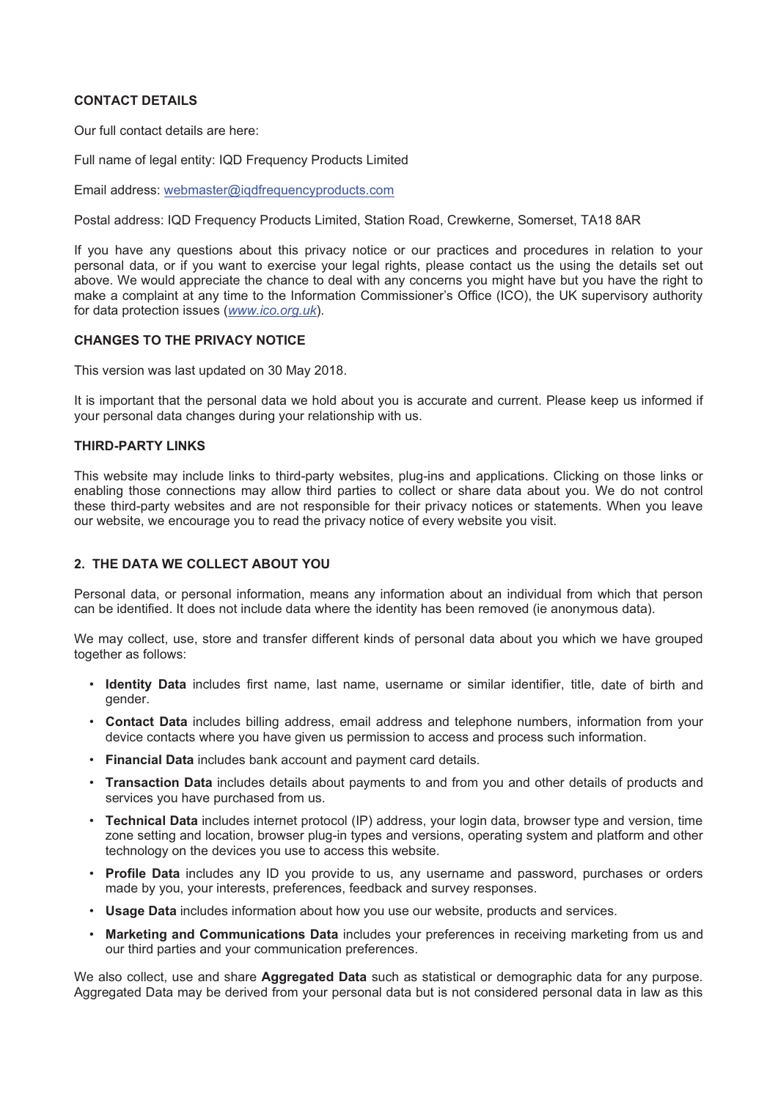# **CONTACT DETAILS**

Our full contact details are here:

Full name of legal entity: IQD Frequency Products Limited

Email address: webmaster@igdfrequencyproducts.com

Postal address: IQD Frequency Products Limited, Station Road, Crewkerne, Somerset, TA18 8AR

If you have any questions about this privacy notice or our practices and procedures in relation to your personal data, or if you want to exercise your legal rights, please contact us the using the details set out above. We would appreciate the chance to deal with any concerns you might have but you have the right to make a complaint at any time to the Information Commissioner's Office (ICO), the UK supervisory authority for data protection issues (www.ico.org.uk).

# **CHANGES TO THE PRIVACY NOTICE**

This version was last updated on 30 May 2018.

It is important that the personal data we hold about you is accurate and current. Please keep us informed if your personal data changes during your relationship with us.

#### **THIRD-PARTY LINKS**

This website may include links to third-party websites, plug-ins and applications. Clicking on those links or enabling those connections may allow third parties to collect or share data about you. We do not control these third-party websites and are not responsible for their privacy notices or statements. When you leave our website, we encourage you to read the privacy notice of every website you visit.

# 2. THE DATA WE COLLECT ABOUT YOU

Personal data, or personal information, means any information about an individual from which that person can be identified. It does not include data where the identity has been removed (ie anonymous data).

We may collect, use, store and transfer different kinds of personal data about you which we have grouped together as follows:

- . Identity Data includes first name, last name, username or similar identifier, title, date of birth and gender.
- Contact Data includes billing address, email address and telephone numbers, information from your device contacts where you have given us permission to access and process such information.
- Financial Data includes bank account and payment card details.
- Transaction Data includes details about payments to and from you and other details of products and services you have purchased from us.
- Technical Data includes internet protocol (IP) address, your login data, browser type and version, time zone setting and location, browser plug-in types and versions, operating system and platform and other technology on the devices you use to access this website.
- Profile Data includes any ID you provide to us, any username and password, purchases or orders made by you, your interests, preferences, feedback and survey responses.
- Usage Data includes information about how you use our website, products and services.
- . Marketing and Communications Data includes your preferences in receiving marketing from us and our third parties and your communication preferences.

We also collect, use and share Aggregated Data such as statistical or demographic data for any purpose. Aggregated Data may be derived from your personal data but is not considered personal data in law as this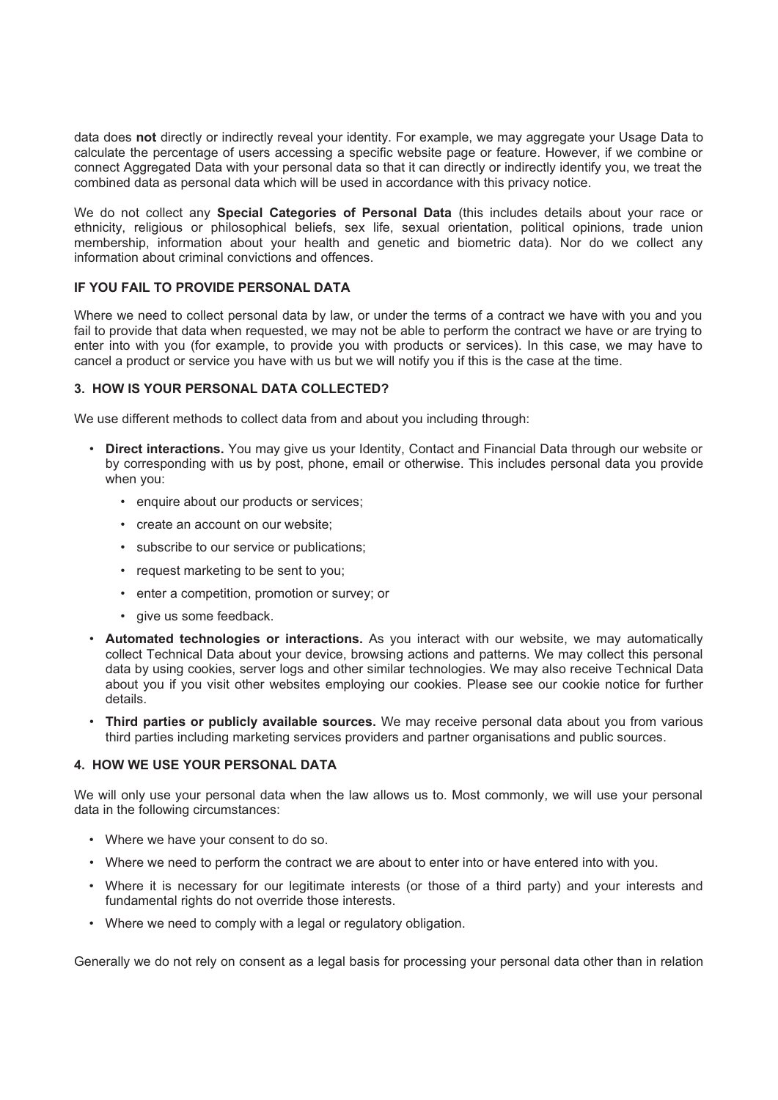data does not directly or indirectly reveal your identity. For example, we may aggregate your Usage Data to calculate the percentage of users accessing a specific website page or feature. However, if we combine or connect Aggregated Data with your personal data so that it can directly or indirectly identify you, we treat the combined data as personal data which will be used in accordance with this privacy notice.

We do not collect any Special Categories of Personal Data (this includes details about your race or ethnicity, religious or philosophical beliefs, sex life, sexual orientation, political opinions, trade union membership, information about your health and genetic and biometric data). Nor do we collect any information about criminal convictions and offences.

# **IF YOU FAIL TO PROVIDE PERSONAL DATA**

Where we need to collect personal data by law, or under the terms of a contract we have with you and you fail to provide that data when requested, we may not be able to perform the contract we have or are trying to enter into with you (for example, to provide you with products or services). In this case, we may have to cancel a product or service you have with us but we will notify you if this is the case at the time.

# 3. HOW IS YOUR PERSONAL DATA COLLECTED?

We use different methods to collect data from and about you including through:

- Direct interactions. You may give us your Identity, Contact and Financial Data through our website or by corresponding with us by post, phone, email or otherwise. This includes personal data you provide when you:
	- enquire about our products or services;
	- create an account on our website:
	- · subscribe to our service or publications;
	- request marketing to be sent to you;
	- enter a competition, promotion or survey; or
	- · give us some feedback.
- Automated technologies or interactions. As you interact with our website, we may automatically collect Technical Data about your device, browsing actions and patterns. We may collect this personal data by using cookies, server logs and other similar technologies. We may also receive Technical Data about you if you visit other websites employing our cookies. Please see our cookie notice for further details.
- Third parties or publicly available sources. We may receive personal data about you from various third parties including marketing services providers and partner organisations and public sources.

# 4. HOW WE USE YOUR PERSONAL DATA

We will only use your personal data when the law allows us to. Most commonly, we will use your personal data in the following circumstances:

- Where we have your consent to do so.
- Where we need to perform the contract we are about to enter into or have entered into with you.
- Where it is necessary for our legitimate interests (or those of a third party) and your interests and fundamental rights do not override those interests.
- Where we need to comply with a legal or regulatory obligation.

Generally we do not rely on consent as a legal basis for processing your personal data other than in relation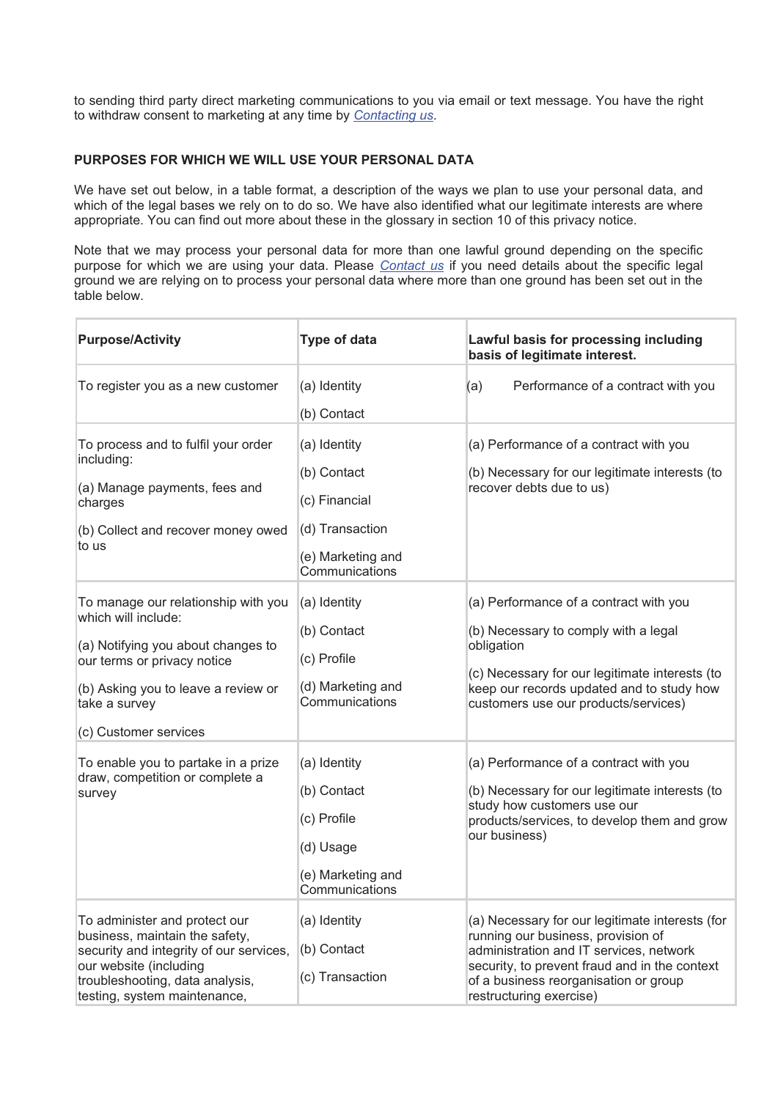to sending third party direct marketing communications to you via email or text message. You have the right to withdraw consent to marketing at any time by Contacting us.

# PURPOSES FOR WHICH WE WILL USE YOUR PERSONAL DATA

We have set out below, in a table format, a description of the ways we plan to use your personal data, and which of the legal bases we rely on to do so. We have also identified what our legitimate interests are where appropriate. You can find out more about these in the glossary in section 10 of this privacy notice.

Note that we may process your personal data for more than one lawful ground depending on the specific purpose for which we are using your data. Please Contact us if you need details about the specific legal ground we are relying on to process your personal data where more than one ground has been set out in the table below.

| <b>Purpose/Activity</b>                                                                                                                                                                                          | <b>Type of data</b>                                                                                    | Lawful basis for processing including<br>basis of legitimate interest.                                                                                                                                                                                |
|------------------------------------------------------------------------------------------------------------------------------------------------------------------------------------------------------------------|--------------------------------------------------------------------------------------------------------|-------------------------------------------------------------------------------------------------------------------------------------------------------------------------------------------------------------------------------------------------------|
| To register you as a new customer                                                                                                                                                                                | (a) Identity<br>(b) Contact                                                                            | Performance of a contract with you<br>(a)                                                                                                                                                                                                             |
| To process and to fulfil your order<br>including:<br>(a) Manage payments, fees and<br>charges<br>(b) Collect and recover money owed<br>to us                                                                     | (a) Identity<br>(b) Contact<br>(c) Financial<br>(d) Transaction<br>(e) Marketing and<br>Communications | (a) Performance of a contract with you<br>(b) Necessary for our legitimate interests (to<br>recover debts due to us)                                                                                                                                  |
| To manage our relationship with you<br>which will include:<br>(a) Notifying you about changes to<br>our terms or privacy notice<br>(b) Asking you to leave a review or<br>take a survey<br>(c) Customer services | (a) Identity<br>(b) Contact<br>(c) Profile<br>(d) Marketing and<br>Communications                      | (a) Performance of a contract with you<br>(b) Necessary to comply with a legal<br>obligation<br>(c) Necessary for our legitimate interests (to<br>keep our records updated and to study how<br>customers use our products/services)                   |
| To enable you to partake in a prize<br>draw, competition or complete a<br>survey                                                                                                                                 | (a) Identity<br>(b) Contact<br>(c) Profile<br>(d) Usage<br>(e) Marketing and<br>Communications         | (a) Performance of a contract with you<br>(b) Necessary for our legitimate interests (to<br>study how customers use our<br>products/services, to develop them and grow<br>our business)                                                               |
| To administer and protect our<br>business, maintain the safety,<br>security and integrity of our services,<br>our website (including<br>troubleshooting, data analysis,<br>testing, system maintenance,          | (a) Identity<br>(b) Contact<br>(c) Transaction                                                         | (a) Necessary for our legitimate interests (for<br>running our business, provision of<br>administration and IT services, network<br>security, to prevent fraud and in the context<br>of a business reorganisation or group<br>restructuring exercise) |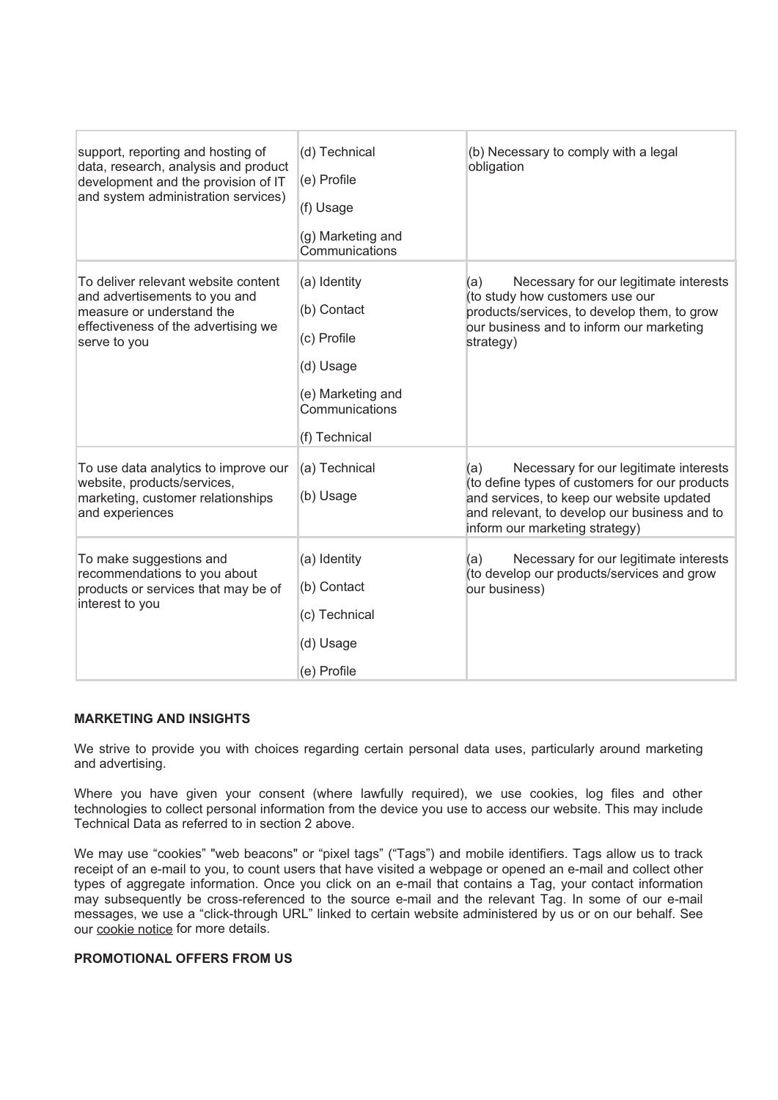| support, reporting and hosting of<br>data, research, analysis and product<br>development and the provision of IT<br>and system administration services)  | (d) Technical<br>(e) Profile<br>(f) Usage<br>(g) Marketing and<br>Communications                                | (b) Necessary to comply with a legal<br>obligation                                                                                                                                                                             |
|----------------------------------------------------------------------------------------------------------------------------------------------------------|-----------------------------------------------------------------------------------------------------------------|--------------------------------------------------------------------------------------------------------------------------------------------------------------------------------------------------------------------------------|
| To deliver relevant website content<br>and advertisements to you and<br>measure or understand the<br>effectiveness of the advertising we<br>serve to you | (a) Identity<br>(b) Contact<br>(c) Profile<br>(d) Usage<br>(e) Marketing and<br>Communications<br>(f) Technical | Necessary for our legitimate interests<br>(a)<br>(to study how customers use our<br>products/services, to develop them, to grow<br>our business and to inform our marketing<br>strategy)                                       |
| To use data analytics to improve our<br>website, products/services,<br>marketing, customer relationships<br>and experiences                              | (a) Technical<br>(b) Usage                                                                                      | Necessary for our legitimate interests<br>(a)<br>(to define types of customers for our products<br>and services, to keep our website updated<br>and relevant, to develop our business and to<br>inform our marketing strategy) |
| To make suggestions and<br>recommendations to you about<br>products or services that may be of<br>interest to you                                        | (a) Identity<br>(b) Contact<br>(c) Technical<br>(d) Usage<br>(e) Profile                                        | Necessary for our legitimate interests<br>(a)<br>(to develop our products/services and grow<br>our business)                                                                                                                   |

# **MARKETING AND INSIGHTS**

We strive to provide you with choices regarding certain personal data uses, particularly around marketing and advertising.

Where you have given your consent (where lawfully required), we use cookies, log files and other technologies to collect personal information from the device you use to access our website. This may include Technical Data as referred to in section 2 above.

We may use "cookies" "web beacons" or "pixel tags" ("Tags") and mobile identifiers. Tags allow us to track receipt of an e-mail to you, to count users that have visited a webpage or opened an e-mail and collect other types of aggregate information. Once you click on an e-mail that contains a Tag, your contact information may subsequently be cross-referenced to the source e-mail and the relevant Tag. In some of our e-mail messages, we use a "click-through URL" linked to certain website administered by us or on our behalf. See our cookie notice for more details.

# **PROMOTIONAL OFFERS FROM US**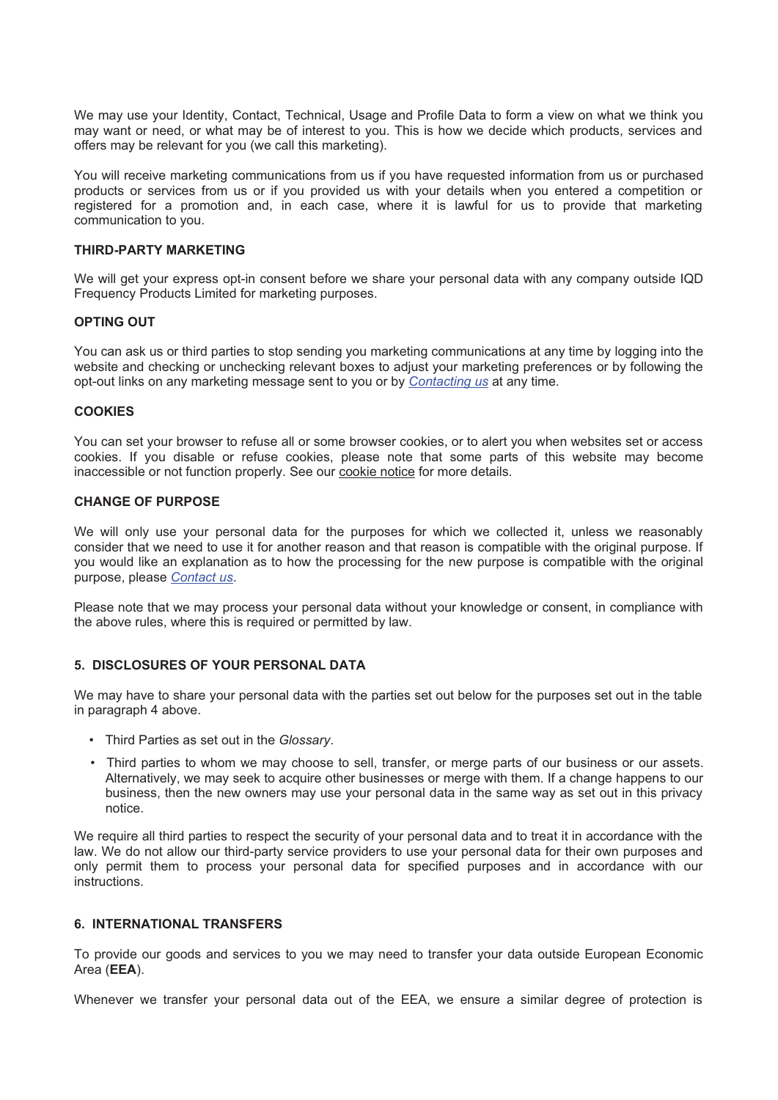We may use your Identity, Contact, Technical, Usage and Profile Data to form a view on what we think you may want or need, or what may be of interest to you. This is how we decide which products, services and offers may be relevant for you (we call this marketing).

You will receive marketing communications from us if you have requested information from us or purchased products or services from us or if you provided us with your details when you entered a competition or registered for a promotion and, in each case, where it is lawful for us to provide that marketing communication to you.

#### **THIRD-PARTY MARKETING**

We will get your express opt-in consent before we share your personal data with any company outside IQD Frequency Products Limited for marketing purposes.

### **OPTING OUT**

You can ask us or third parties to stop sending you marketing communications at any time by logging into the website and checking or unchecking relevant boxes to adjust your marketing preferences or by following the opt-out links on any marketing message sent to you or by Contacting us at any time.

#### **COOKIES**

You can set your browser to refuse all or some browser cookies, or to alert you when websites set or access cookies. If you disable or refuse cookies, please note that some parts of this website may become inaccessible or not function properly. See our cookie notice for more details.

#### **CHANGE OF PURPOSE**

We will only use your personal data for the purposes for which we collected it, unless we reasonably consider that we need to use it for another reason and that reason is compatible with the original purpose. If you would like an explanation as to how the processing for the new purpose is compatible with the original purpose, please Contact us.

Please note that we may process your personal data without your knowledge or consent, in compliance with the above rules, where this is required or permitted by law.

# 5. DISCLOSURES OF YOUR PERSONAL DATA

We may have to share your personal data with the parties set out below for the purposes set out in the table in paragraph 4 above.

- Third Parties as set out in the Glossarv.
- Third parties to whom we may choose to sell, transfer, or merge parts of our business or our assets. Alternatively, we may seek to acquire other businesses or merge with them. If a change happens to our business, then the new owners may use your personal data in the same way as set out in this privacy notice.

We require all third parties to respect the security of your personal data and to treat it in accordance with the law. We do not allow our third-party service providers to use your personal data for their own purposes and only permit them to process your personal data for specified purposes and in accordance with our instructions.

#### 6. INTERNATIONAL TRANSFERS

To provide our goods and services to you we may need to transfer your data outside European Economic Area (EEA).

Whenever we transfer your personal data out of the EEA, we ensure a similar degree of protection is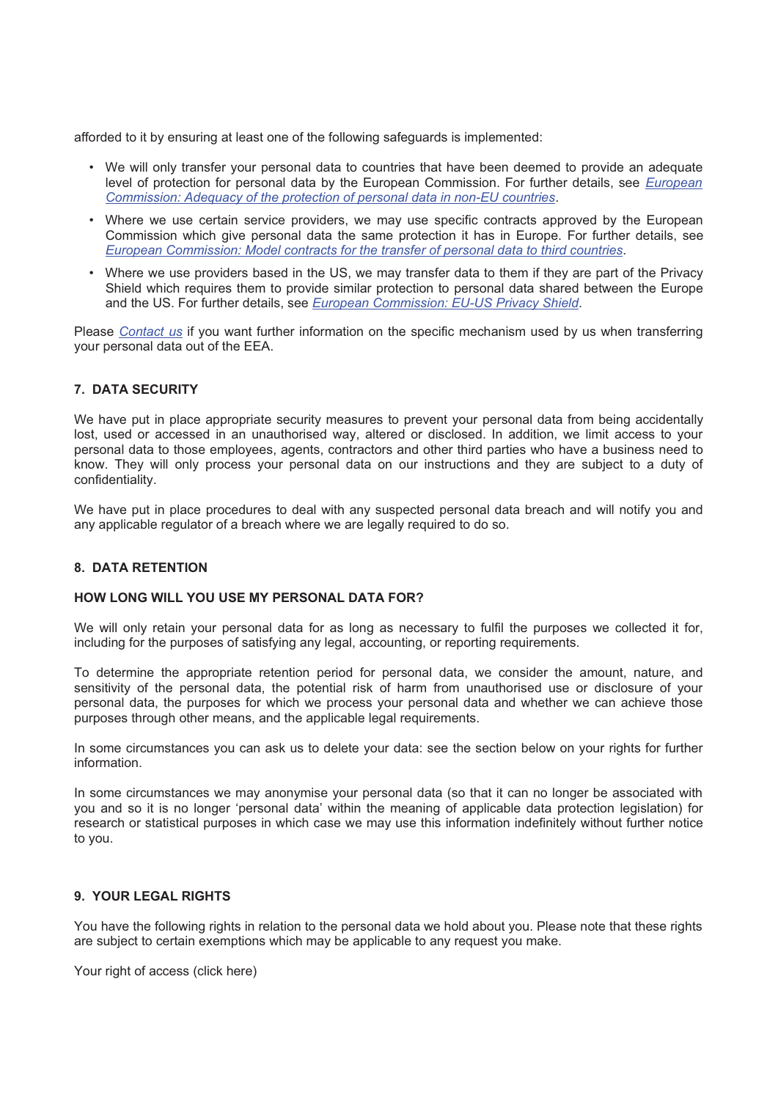afforded to it by ensuring at least one of the following safeguards is implemented:

- We will only transfer your personal data to countries that have been deemed to provide an adequate level of protection for personal data by the European Commission. For further details, see European Commission: Adequacy of the protection of personal data in non-EU countries.
- Where we use certain service providers, we may use specific contracts approved by the European Commission which give personal data the same protection it has in Europe. For further details, see European Commission: Model contracts for the transfer of personal data to third countries.
- Where we use providers based in the US, we may transfer data to them if they are part of the Privacy Shield which requires them to provide similar protection to personal data shared between the Europe and the US. For further details, see European Commission: EU-US Privacy Shield.

Please Contact us if you want further information on the specific mechanism used by us when transferring vour personal data out of the EEA.

# **7. DATA SECURITY**

We have put in place appropriate security measures to prevent your personal data from being accidentally lost, used or accessed in an unauthorised way, altered or disclosed. In addition, we limit access to your personal data to those employees, agents, contractors and other third parties who have a business need to know. They will only process your personal data on our instructions and they are subject to a duty of confidentiality.

We have put in place procedures to deal with any suspected personal data breach and will notify you and any applicable regulator of a breach where we are legally required to do so.

### 8 DATA RETENTION

# HOW LONG WILL YOU USE MY PERSONAL DATA FOR?

We will only retain your personal data for as long as necessary to fulfil the purposes we collected it for, including for the purposes of satisfying any legal, accounting, or reporting requirements.

To determine the appropriate retention period for personal data, we consider the amount, nature, and sensitivity of the personal data, the potential risk of harm from unauthorised use or disclosure of your personal data, the purposes for which we process your personal data and whether we can achieve those purposes through other means, and the applicable legal requirements.

In some circumstances you can ask us to delete your data: see the section below on your rights for further information.

In some circumstances we may anonymise your personal data (so that it can no longer be associated with you and so it is no longer 'personal data' within the meaning of applicable data protection legislation) for research or statistical purposes in which case we may use this information indefinitely without further notice to vou.

#### 9. YOUR LEGAL RIGHTS

You have the following rights in relation to the personal data we hold about you. Please note that these rights are subject to certain exemptions which may be applicable to any request you make.

Your right of access (click here)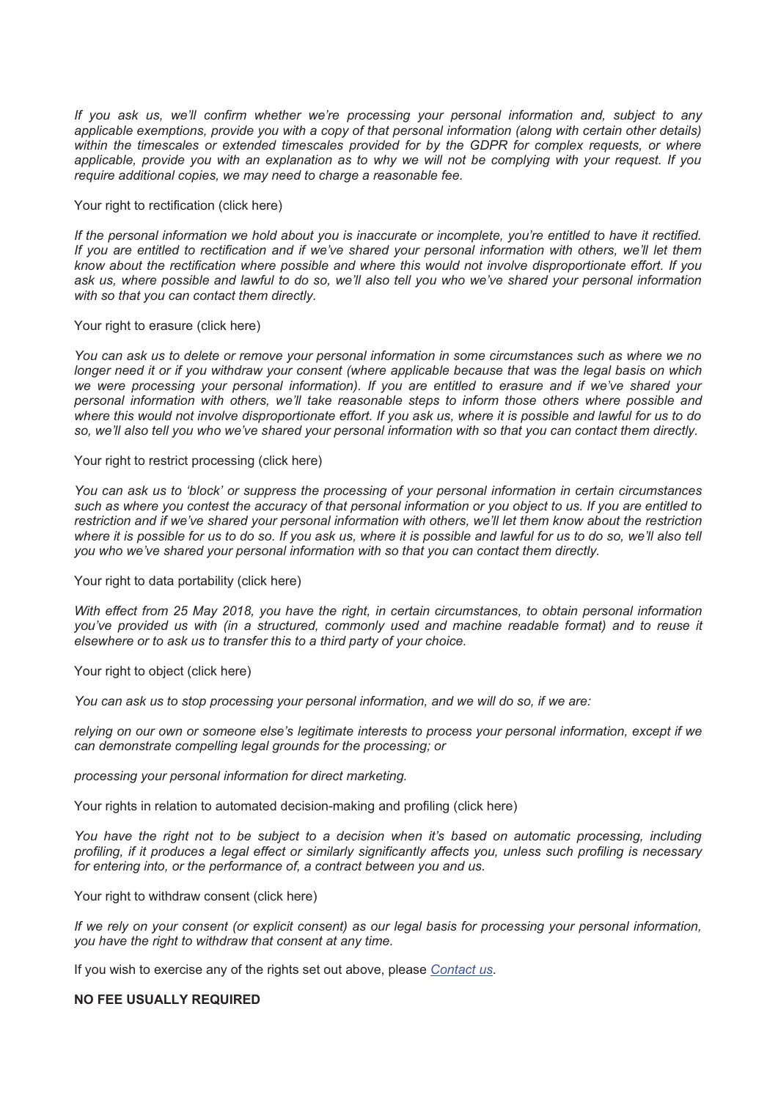*If you ask us, we'll confirm whether we're processing your personal information and, subject to any applicable exemptions, provide you with a copy of that personal information (along with certain other details) within the timescales or extended timescales provided for by the GDPR for complex requests, or where applicable, provide you with an explanation as to why we will not be complying with your request. If you require additional copies, we may need to charge a reasonable fee.*

### Your right to rectification (click here)

*If the personal information we hold about you is inaccurate or incomplete, you're entitled to have it rectified. If you are entitled to rectification and if we've shared your personal information with others, we'll let them know about the rectification where possible and where this would not involve disproportionate effort. If you ask us, where possible and lawful to do so, we'll also tell you who we've shared your personal information with so that you can contact them directly.*

### Your right to erasure (click here)

*You can ask us to delete or remove your personal information in some circumstances such as where we no longer need it or if you withdraw your consent (where applicable because that was the legal basis on which we were processing your personal information). If you are entitled to erasure and if we've shared your personal information with others, we'll take reasonable steps to inform those others where possible and where this would not involve disproportionate effort. If you ask us, where it is possible and lawful for us to do so, we'll also tell you who we've shared your personal information with so that you can contact them directly.*

Your right to restrict processing (click here)

*You can ask us to 'block' or suppress the processing of your personal information in certain circumstances such as where you contest the accuracy of that personal information or you object to us. If you are entitled to restriction and if we've shared your personal information with others, we'll let them know about the restriction* where it is possible for us to do so. If you ask us, where it is possible and lawful for us to do so, we'll also tell *you who we've shared your personal information with so that you can contact them directly.*

# Your right to data portability (click here)

*With effect from 25 May 2018, you have the right, in certain circumstances, to obtain personal information you've provided us with (in a structured, commonly used and machine readable format) and to reuse it elsewhere or to ask us to transfer this to a third party of your choice.*

### Your right to object (click here)

*You can ask us to stop processing your personal information, and we will do so, if we are:*

*relying on our own or someone else's legitimate interests to process your personal information, except if we can demonstrate compelling legal grounds for the processing; or*

*processing your personal information for direct marketing.*

Your rights in relation to automated decision-making and profiling (click here)

*You have the right not to be subject to a decision when it's based on automatic processing, including profiling, if it produces a legal effect or similarly significantly affects you, unless such profiling is necessary for entering into, or the performance of, a contract between you and us.*

Your right to withdraw consent (click here)

*If we rely on your consent (or explicit consent) as our legal basis for processing your personal information, you have the right to withdraw that consent at any time.* 

If you wish to exercise any of the rights set out above, please *[Contact us](https://www.iqdfrequencyproducts.com/contact/)*.

#### **NO FEE USUALLY REQUIRED**